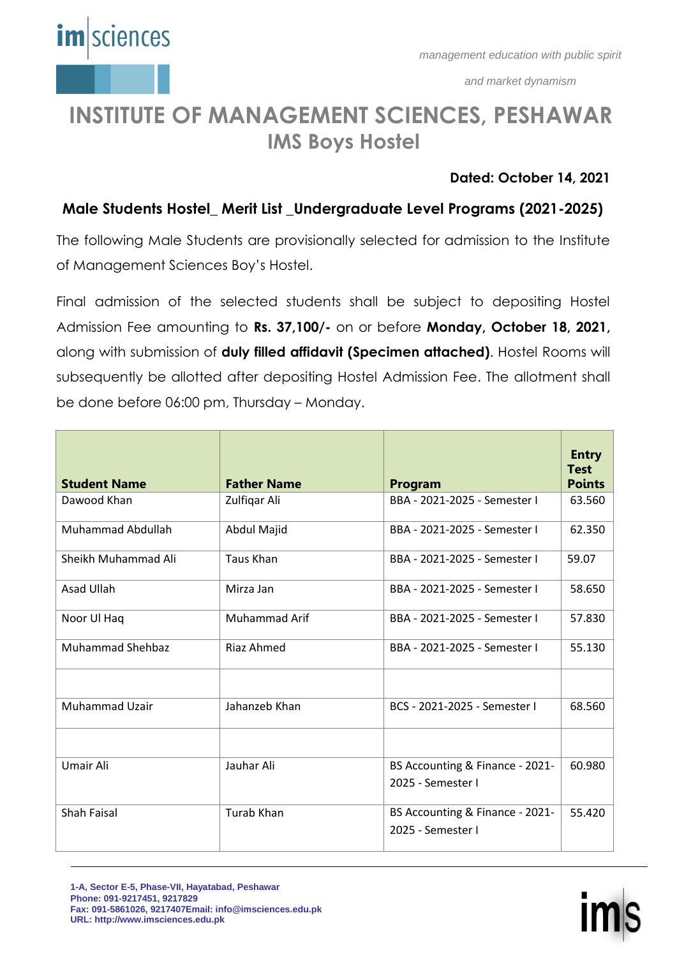

*management education with public spirit*

*and market dynamism*

## **INSTITUTE OF MANAGEMENT SCIENCES, PESHAWAR IMS Boys Hostel**

### **Dated: October 14, 2021**

## **Male Students Hostel\_ Merit List \_Undergraduate Level Programs (2021-2025)**

The following Male Students are provisionally selected for admission to the Institute of Management Sciences Boy's Hostel.

Final admission of the selected students shall be subject to depositing Hostel Admission Fee amounting to **Rs. 37,100/-** on or before **Monday, October 18, 2021,** along with submission of **duly filled affidavit (Specimen attached)**. Hostel Rooms will subsequently be allotted after depositing Hostel Admission Fee. The allotment shall be done before 06:00 pm, Thursday – Monday.

| <b>Student Name</b>     | <b>Father Name</b>   | <b>Program</b>                                       | <b>Entry</b><br><b>Test</b><br><b>Points</b> |
|-------------------------|----------------------|------------------------------------------------------|----------------------------------------------|
| Dawood Khan             | Zulfiqar Ali         | BBA - 2021-2025 - Semester I                         | 63.560                                       |
| Muhammad Abdullah       | Abdul Majid          | BBA - 2021-2025 - Semester I                         | 62.350                                       |
| Sheikh Muhammad Ali     | <b>Taus Khan</b>     | BBA - 2021-2025 - Semester I                         | 59.07                                        |
| Asad Ullah              | Mirza Jan            | BBA - 2021-2025 - Semester I                         | 58.650                                       |
| Noor Ul Haq             | <b>Muhammad Arif</b> | BBA - 2021-2025 - Semester I                         | 57.830                                       |
| <b>Muhammad Shehbaz</b> | <b>Riaz Ahmed</b>    | BBA - 2021-2025 - Semester I                         | 55.130                                       |
|                         |                      |                                                      |                                              |
| Muhammad Uzair          | Jahanzeb Khan        | BCS - 2021-2025 - Semester I                         | 68.560                                       |
|                         |                      |                                                      |                                              |
| Umair Ali               | Jauhar Ali           | BS Accounting & Finance - 2021-<br>2025 - Semester I | 60.980                                       |
|                         |                      |                                                      |                                              |
| <b>Shah Faisal</b>      | Turab Khan           | BS Accounting & Finance - 2021-                      | 55.420                                       |
|                         |                      | 2025 - Semester I                                    |                                              |